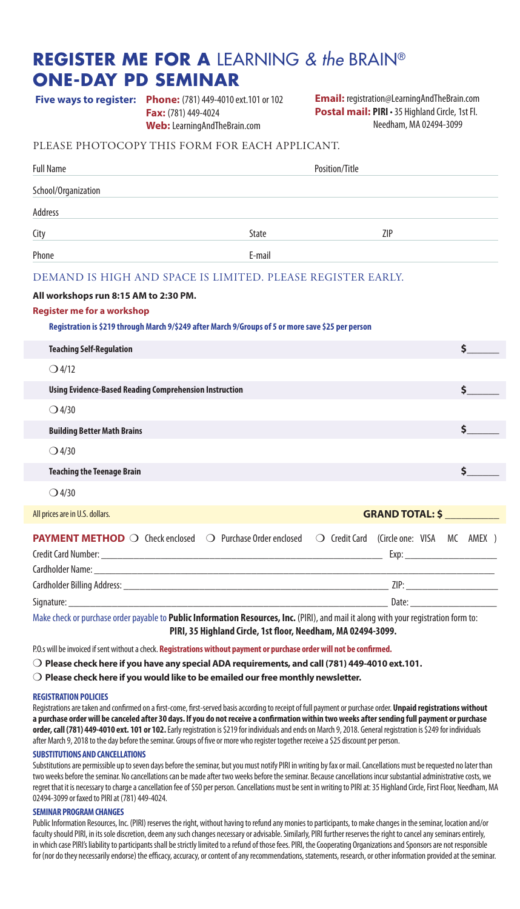## **REGISTER ME FOR A** LEARNING *& the* BRAIN® **ONE-DAY PD SEMINAR**

| <b>Five ways to register: Phone:</b> (781) 449-4010 ext. 101 or 102 | <b>Email:</b> registration@LearningAndTheBrain.com     |
|---------------------------------------------------------------------|--------------------------------------------------------|
| <b>Fax:</b> $(781)$ 449-4024                                        | <b>Postal mail: PIRI</b> · 35 Highland Circle, 1st Fl. |

**Web:** LearningAndTheBrain.com

**Postal mail: PIRI** • 35 Highland Circle, 1st Fl. Needham, MA 02494-3099

#### PLEASE PHOTOCOPY THIS FORM FOR EACH APPLICANT.

| <b>Full Name</b>                                                                                                                                                                 | Position/Title |  |                                          |    |  |
|----------------------------------------------------------------------------------------------------------------------------------------------------------------------------------|----------------|--|------------------------------------------|----|--|
| School/Organization                                                                                                                                                              |                |  |                                          |    |  |
| <b>Address</b>                                                                                                                                                                   |                |  |                                          |    |  |
| City                                                                                                                                                                             | State          |  | 7IP                                      |    |  |
| Phone                                                                                                                                                                            | E-mail         |  |                                          |    |  |
| DEMAND IS HIGH AND SPACE IS LIMITED. PLEASE REGISTER EARLY.                                                                                                                      |                |  |                                          |    |  |
| All workshops run 8:15 AM to 2:30 PM.<br><b>Register me for a workshop</b><br>Registration is \$219 through March 9/\$249 after March 9/Groups of 5 or more save \$25 per person |                |  |                                          |    |  |
| <b>Teaching Self-Regulation</b>                                                                                                                                                  |                |  |                                          | \$ |  |
| $O$ 4/12                                                                                                                                                                         |                |  |                                          |    |  |
| <b>Using Evidence-Based Reading Comprehension Instruction</b>                                                                                                                    |                |  |                                          | Ś. |  |
| $\bigcirc$ 4/30                                                                                                                                                                  |                |  |                                          |    |  |
| <b>Building Better Math Brains</b>                                                                                                                                               |                |  |                                          | \$ |  |
| $\bigcirc$ 4/30                                                                                                                                                                  |                |  |                                          |    |  |
| <b>Teaching the Teenage Brain</b>                                                                                                                                                |                |  |                                          | Ś. |  |
| $O$ 4/30                                                                                                                                                                         |                |  |                                          |    |  |
| All prices are in U.S. dollars.                                                                                                                                                  |                |  | <b>GRAND TOTAL: \$</b>                   |    |  |
| <b>PAYMENT METHOD</b> O Check enclosed O Purchase Order enclosed                                                                                                                 |                |  | ○ Credit Card (Circle one: VISA MC AMEX) |    |  |
|                                                                                                                                                                                  |                |  |                                          |    |  |

Signature: \_\_\_\_\_\_\_\_\_\_\_\_\_\_\_\_\_\_\_\_\_\_\_\_\_\_\_\_\_\_\_\_\_\_\_\_\_\_\_\_\_\_\_\_\_\_\_\_\_\_\_\_\_\_\_\_\_\_\_ Date: \_\_\_\_\_\_\_\_\_\_\_\_\_\_\_\_

Make check or purchase order payable to **Public Information Resources, Inc.** (PIRI), and mail it along with your registration form to: **PIRI, 35 Highland Circle, 1st floor, Needham, MA 02494-3099.** 

P.O.s will be invoiced if sent without a check. **Registrations without payment or purchase order will not be confirmed.**

m **Please check here if you have any special ADA requirements, and call (781) 449-4010 ext.101.**

 $\bigcirc$  Please check here if you would like to be emailed our free monthly newsletter.

#### **REGISTRATION POLICIES**

Registrations are taken and confirmed on a first-come, first-served basis according to receipt of full payment or purchase order. **Unpaid registrations without a purchase order will be canceled after 30 days. If you do not receive a confirmation within two weeks after sending full payment or purchase order, call (781) 449-4010 ext. 101 or 102.** Early registration is \$219 for individuals and ends on March 9, 2018. General registration is \$249 for individuals after March 9, 2018 to the day before the seminar. Groups of five or more who register together receive a \$25 discount per person.

#### **SUBSTITUTIONS AND CANCELLATIONS**

Substitutions are permissible up to seven days before the seminar, but you must notify PIRI in writing by fax or mail. Cancellations must be requested no later than two weeks before the seminar. No cancellations can be made after two weeks before the seminar. Because cancellations incur substantial administrative costs, we regret that it is necessary to charge a cancellation fee of \$50 per person. Cancellations must be sent in writing to PIRI at: 35 Highland Circle, First Floor, Needham, MA 02494-3099 or faxed to PIRI at (781) 449-4024.

#### **SEMINAR PROGRAM CHANGES**

Public Information Resources, Inc. (PIRI) reserves the right, without having to refund any monies to participants, to make changes in the seminar, location and/or faculty should PIRI, in its sole discretion, deem any such changes necessary or advisable. Similarly, PIRI further reserves the right to cancel any seminars entirely, in which case PIRI's liability to participants shall be strictly limited to a refund of those fees. PIRI, the Cooperating Organizations and Sponsors are not responsible for (nor do they necessarily endorse) the efficacy, accuracy, or content of any recommendations, statements, research, or other information provided at the seminar.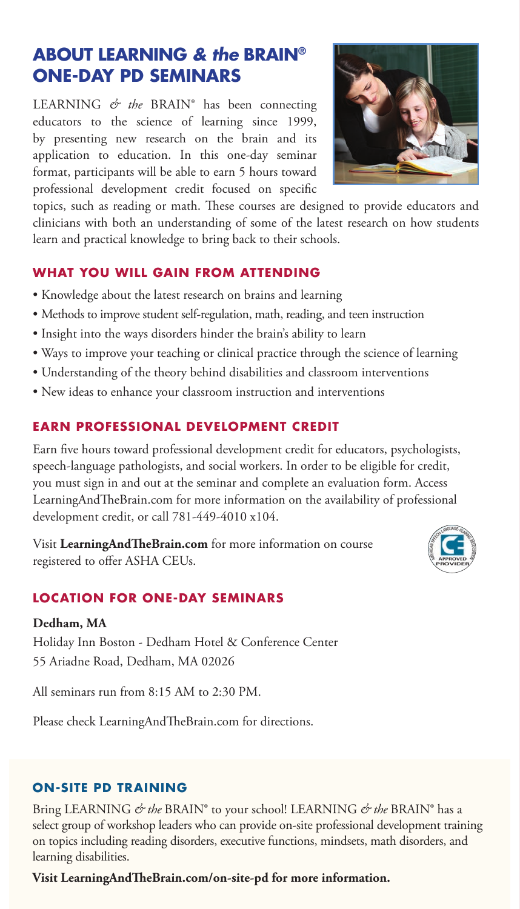## **ABOUT LEARNING** *& the* **BRAIN® ONE-DAY PD SEMINARS**

LEARNING *& the* BRAIN® has been connecting educators to the science of learning since 1999, by presenting new research on the brain and its application to education. In this one-day seminar format, participants will be able to earn 5 hours toward professional development credit focused on specific

topics, such as reading or math. These courses are designed to provide educators and clinicians with both an understanding of some of the latest research on how students learn and practical knowledge to bring back to their schools.

## **WHAT YOU WILL GAIN FROM ATTENDING**

- Knowledge about the latest research on brains and learning
- Methods to improve student self-regulation, math, reading, and teen instruction
- Insight into the ways disorders hinder the brain's ability to learn
- Ways to improve your teaching or clinical practice through the science of learning
- Understanding of the theory behind disabilities and classroom interventions
- New ideas to enhance your classroom instruction and interventions

## **EARN PROFESSIONAL DEVELOPMENT CREDIT**

Earn five hours toward professional development credit for educators, psychologists, speech-language pathologists, and social workers. In order to be eligible for credit, you must sign in and out at the seminar and complete an evaluation form. Access LearningAndTheBrain.com for more information on the availability of professional development credit, or call 781-449-4010 x104.

Visit **LearningAndTheBrain.com** for more information on course registered to offer ASHA CEUs.

## **LOCATION FOR ONE-DAY SEMINARS**

#### **Dedham, MA**

Holiday Inn Boston - Dedham Hotel & Conference Center 55 Ariadne Road, Dedham, MA 02026

All seminars run from 8:15 AM to 2:30 PM.

Please check LearningAndTheBrain.com for directions.

## **ON-SITE PD TRAINING**

Bring LEARNING *& the* BRAIN® to your school! LEARNING *& the* BRAIN® has a select group of workshop leaders who can provide on-site professional development training on topics including reading disorders, executive functions, mindsets, math disorders, and learning disabilities.

**Visit LearningAndTheBrain.com/on-site-pd for more information.**



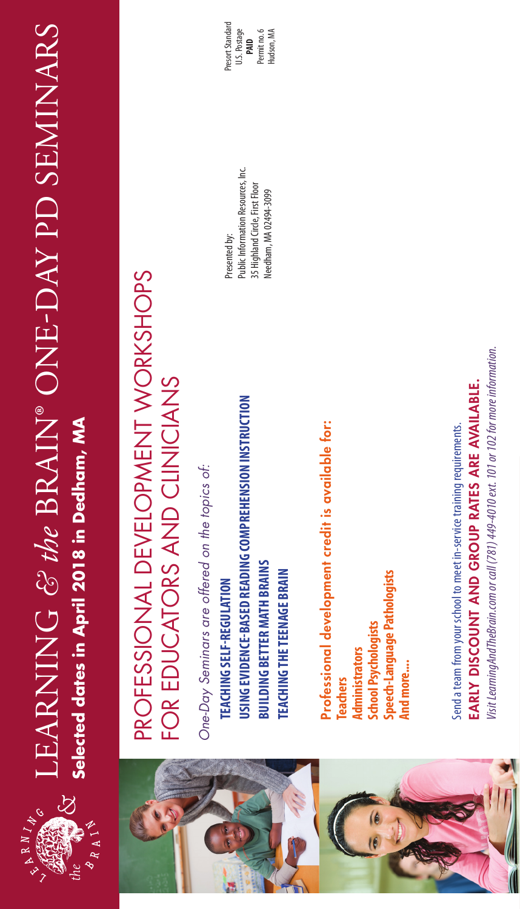

# LEARNING & the BRAIN® ONE-DAY PD SEMINARS LEARNING *& the* BRAIN® ONE-DAY PD SEMINARS LEARNING *& the* BRAIN® ONE-DAY SEMINARS Selected dates in April 2018 in Dedham, MA **Selected dates in April 2018 in Dedham, MAlected dates in April 2018 in Dedham**,



# PROFESSIONAL DEVELOPMENT WORKSHOPS PROFESSIONAL DEVELOPMENT WORKSHOPS FOR EDUCATORS AND CLINICIANS FOR EDUCATORS AND CLINICIANS

One-Day Seminars are offered on the topics of: *One-Day Seminars are offered on the topics of:*

**USING EVIDENCE-BASED READING COMPREHENSION INSTRUCTION**  USING EVIDENCE-BASED READING COMPREHENSION INSTRUCTION **BUILDING BETTER MATH BRAINS BUILDING BETTER MATH BRAINS TEACHING THE TEENAGE BRAIN TEACHING THE TEENAGE BRAIN TEACHING SELF-REGULATION TEACHING SELF-REGULATION** 

**Public Information Resources, Inc.** Public Information Resources, Inc. 35 Highland Circle, First Floor 35 Highland Circle, First Floor Needham, MA 02494-3099 Needham, MA 02494-3099 Presented by:

Presort Standard Presort Standard U.S. Postage Permit no. 6 Permit no. 6 Hudson, MA **PAID**

> Professional development credit is available for: Professional development credit is available for: **ipeech-Language Pathologists Speech-Language Pathologists School Psychologists School Psychologists** Administrators **Administrators** And more.... **And more.... Teachers**

EARLY DISCOUNT AND GROUP RATES ARE AVAILABLE. EARLY DISCOUNT AND GROUP RATES ARE AVAILABLE. Send a team from your school to meet in-service training requirements. Send a team from your school to meet in-service training requirements.

lisit LearningAndTheBrain.com or call (781) 449-4010 ext. 101 or 102 for more information. *Visit LearningAndTheBrain.com or call (781) 449-4010 ext. 101 or 102 for more information.*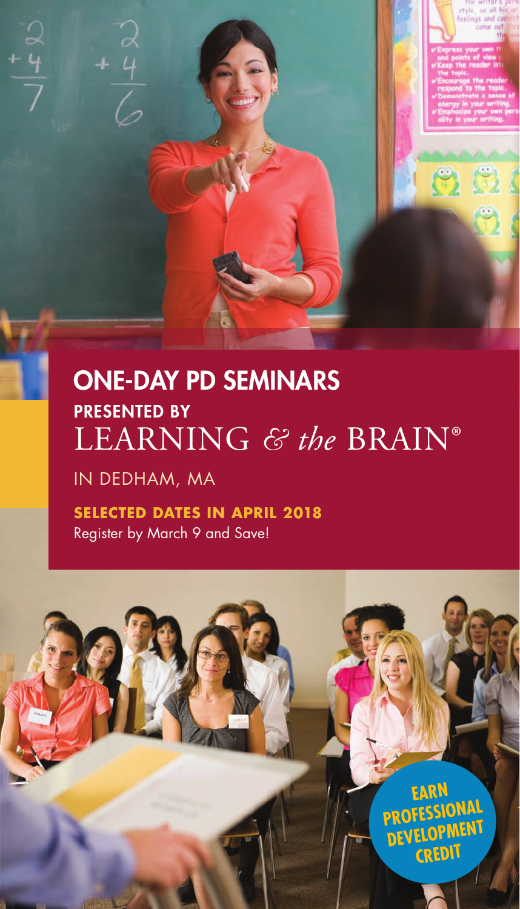# ONE-DAY PD SEMINARS PRESENTED BY LEARNING *& the* BRAIN®

IN DEDHAM, MA

**SELECTED DATES IN APRIL 2018** Register by March 9 and Save!

> **EARN PROFESSIONAL DEVELOP CREDIT**

62

G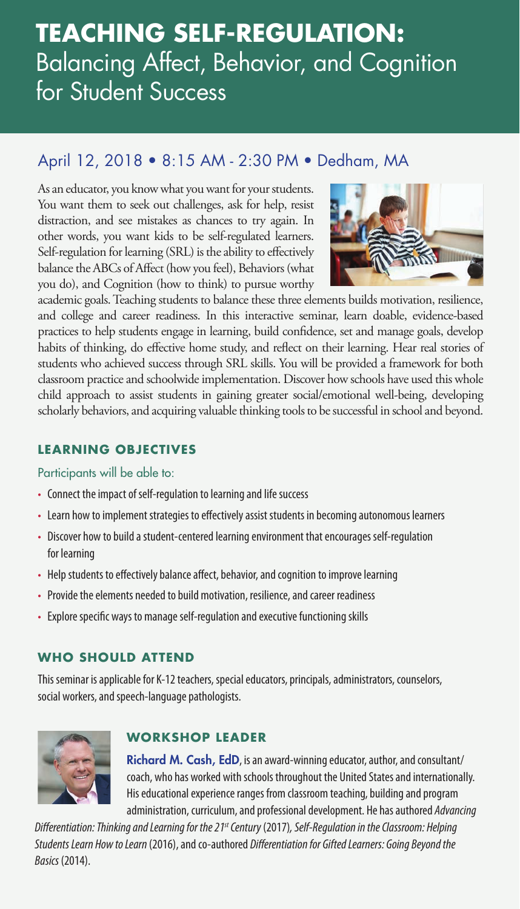# **TEACHING SELF-REGULATION:**  Balancing Affect, Behavior, and Cognition for Student Success

## April 12, 2018 • 8:15 AM - 2:30 PM • Dedham, MA

As an educator, you know what you want for your students. You want them to seek out challenges, ask for help, resist distraction, and see mistakes as chances to try again. In other words, you want kids to be self-regulated learners. Self-regulation for learning (SRL) is the ability to effectively balance the ABCs of Affect (how you feel), Behaviors (what you do), and Cognition (how to think) to pursue worthy



academic goals. Teaching students to balance these three elements builds motivation, resilience, and college and career readiness. In this interactive seminar, learn doable, evidence-based practices to help students engage in learning, build confidence, set and manage goals, develop habits of thinking, do effective home study, and reflect on their learning. Hear real stories of students who achieved success through SRL skills. You will be provided a framework for both classroom practice and schoolwide implementation. Discover how schools have used this whole child approach to assist students in gaining greater social/emotional well-being, developing scholarly behaviors, and acquiring valuable thinking tools to be successful in school and beyond.

## **LEARNING OBJECTIVES**

## Participants will be able to:

- Connect the impact of self-regulation to learning and life success
- Learn how to implement strategies to effectively assist students in becoming autonomous learners
- Discover how to build a student-centered learning environment that encourages self-regulation for learning
- Help students to effectively balance affect, behavior, and cognition to improve learning
- Provide the elements needed to build motivation, resilience, and career readiness
- Explore specific ways to manage self-regulation and executive functioning skills

## **WHO SHOULD ATTEND**

This seminar is applicable for K-12 teachers, special educators, principals, administrators, counselors, social workers, and speech-language pathologists.



## **WORKSHOP LEADER**

Richard M. Cash, EdD, is an award-winning educator, author, and consultant/ coach, who has worked with schools throughout the United States and internationally. His educational experience ranges from classroom teaching, building and program administration, curriculum, and professional development. He has authored *Advancing* 

*Differentiation: Thinking and Learning for the 21st Century* (2017)*, Self-Regulation in the Classroom: Helping Students Learn How to Learn* (2016), and co-authored *Differentiation for Gifted Learners: Going Beyond the Basics* (2014).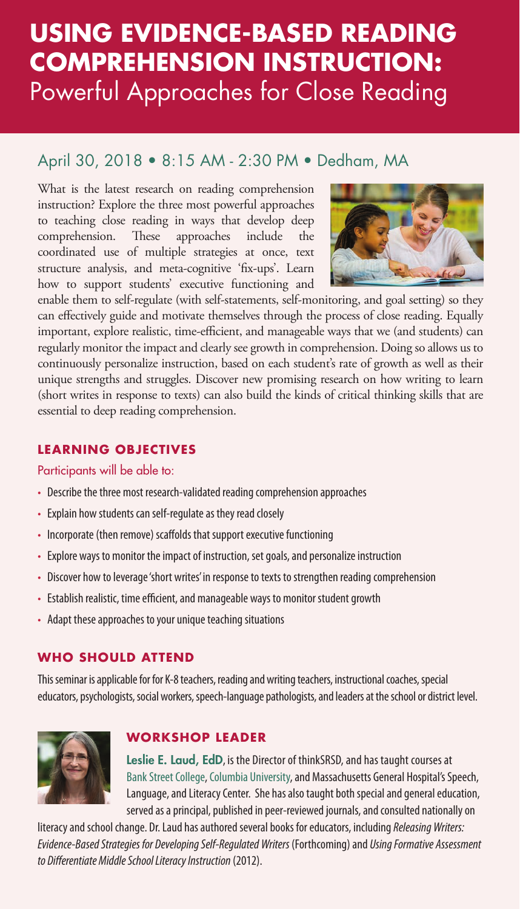# **USING EVIDENCE-BASED READING COMPREHENSION INSTRUCTION:**  Powerful Approaches for Close Reading

## April 30, 2018 • 8:15 AM - 2:30 PM • Dedham, MA

What is the latest research on reading comprehension instruction? Explore the three most powerful approaches to teaching close reading in ways that develop deep comprehension. These approaches include the coordinated use of multiple strategies at once, text structure analysis, and meta-cognitive 'fix-ups'. Learn how to support students' executive functioning and



enable them to self-regulate (with self-statements, self-monitoring, and goal setting) so they can effectively guide and motivate themselves through the process of close reading. Equally important, explore realistic, time-efficient, and manageable ways that we (and students) can regularly monitor the impact and clearly see growth in comprehension. Doing so allows us to continuously personalize instruction, based on each student's rate of growth as well as their unique strengths and struggles. Discover new promising research on how writing to learn (short writes in response to texts) can also build the kinds of critical thinking skills that are essential to deep reading comprehension.

## **LEARNING OBJECTIVES**

## Participants will be able to:

- Describe the three most research-validated reading comprehension approaches
- Explain how students can self-regulate as they read closely
- Incorporate (then remove) scaffolds that support executive functioning
- Explore ways to monitor the impact of instruction, set goals, and personalize instruction
- Discover how to leverage 'short writes' in response to texts to strengthen reading comprehension
- Establish realistic, time efficient, and manageable ways to monitor student growth
- Adapt these approaches to your unique teaching situations

## **WHO SHOULD ATTEND**

This seminar is applicable for for K-8 teachers, reading and writing teachers, instructional coaches, special educators, psychologists, social workers, speech-language pathologists, and leaders at the school or district level.



## **WORKSHOP LEADER**

Leslie E. Laud, EdD, is the Director of thinkSRSD, and has taught courses at Bank Street College, Columbia University, and Massachusetts General Hospital's Speech, Language, and Literacy Center. She has also taught both special and general education, served as a principal, published in peer-reviewed journals, and consulted nationally on

literacy and school change. Dr. Laud has authored several books for educators, including *Releasing Writers: Evidence-Based Strategies for Developing Self-Regulated Writers* (Forthcoming) and *Using Formative Assessment to Differentiate Middle School Literacy Instruction* (2012).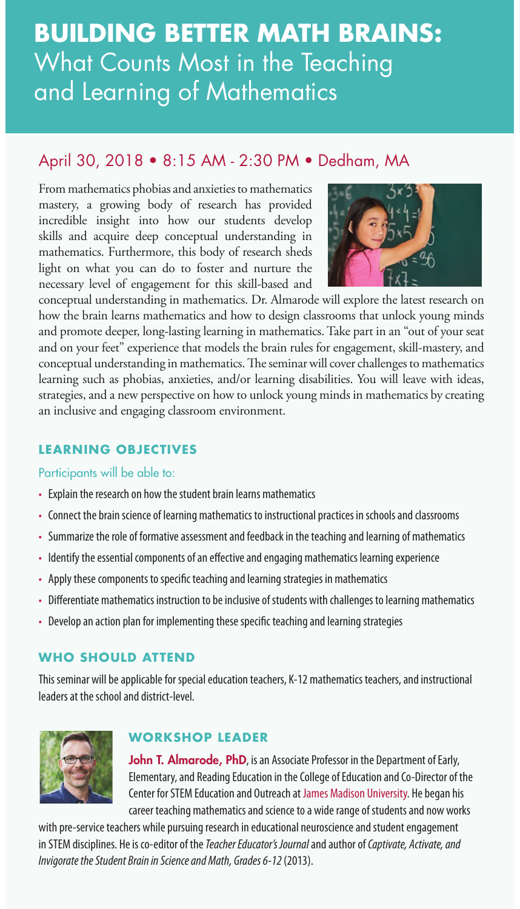# ✓ **,** and Learning of Mathematics **BUILDING BETTER MATH BRAINS:**  What Counts Most in the Teaching

## April 30, 2018 • 8:15 AM - 2:30 PM • Dedham, MA

From mathematics phobias and anxieties to mathematics mastery, a growing body of research has provided incredible insight into how our students develop skills and acquire deep conceptual understanding in mathematics. Furthermore, this body of research sheds light on what you can do to foster and nurture the necessary level of engagement for this skill-based and



conceptual understanding in mathematics. Dr. Almarode will explore the latest research on how the brain learns mathematics and how to design classrooms that unlock young minds and promote deeper, long-lasting learning in mathematics. Take part in an "out of your seat and on your feet" experience that models the brain rules for engagement, skill-mastery, and conceptual understanding in mathematics. The seminar will cover challenges to mathematics learning such as phobias, anxieties, and/or learning disabilities. You will leave with ideas, strategies, and a new perspective on how to unlock young minds in mathematics by creating an inclusive and engaging classroom environment.

## **LEARNING OBJECTIVES**

## Participants will be able to:

- Explain the research on how the student brain learns mathematics
- Connect the brain science of learning mathematics to instructional practices in schools and classrooms
- Summarize the role of formative assessment and feedback in the teaching and learning of mathematics
- Identify the essential components of an effective and engaging mathematics learning experience
- Apply these components to specific teaching and learning strategies in mathematics
- Differentiate mathematics instruction to be inclusive of students with challenges to learning mathematics
- Develop an action plan for implementing these specific teaching and learning strategies

## **WHO SHOULD ATTEND**

This seminar will be applicable for special education teachers, K-12 mathematics teachers, and instructional leaders at the school and district-level.



## **WORKSHOP LEADER**

John T. Almarode, PhD, is an Associate Professor in the Department of Early, Elementary, and Reading Education in the College of Education and Co-Director of the Center for STEM Education and Outreach at James Madison University. He began his career teaching mathematics and science to a wide range of students and now works

with pre-service teachers while pursuing research in educational neuroscience and student engagement in STEM disciplines. He is co-editor of the *Teacher Educator's Journal* and author of *Captivate, Activate, and Invigorate the Student Brain in Science and Math, Grades 6-12* (2013).